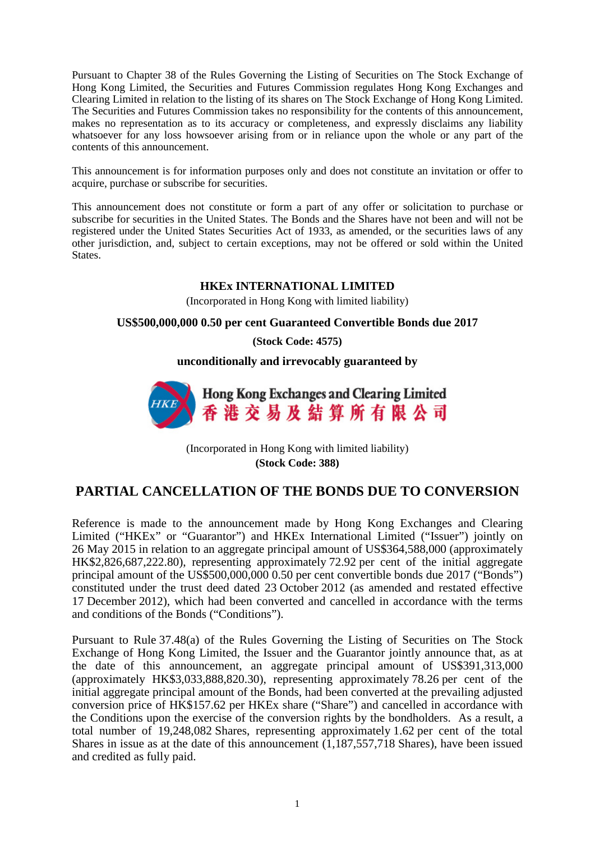Pursuant to Chapter 38 of the Rules Governing the Listing of Securities on The Stock Exchange of Hong Kong Limited, the Securities and Futures Commission regulates Hong Kong Exchanges and Clearing Limited in relation to the listing of its shares on The Stock Exchange of Hong Kong Limited. The Securities and Futures Commission takes no responsibility for the contents of this announcement, makes no representation as to its accuracy or completeness, and expressly disclaims any liability whatsoever for any loss howsoever arising from or in reliance upon the whole or any part of the contents of this announcement.

This announcement is for information purposes only and does not constitute an invitation or offer to acquire, purchase or subscribe for securities.

This announcement does not constitute or form a part of any offer or solicitation to purchase or subscribe for securities in the United States. The Bonds and the Shares have not been and will not be registered under the United States Securities Act of 1933, as amended, or the securities laws of any other jurisdiction, and, subject to certain exceptions, may not be offered or sold within the United States.

## **HKEx INTERNATIONAL LIMITED**

(Incorporated in Hong Kong with limited liability)

## **US\$500,000,000 0.50 per cent Guaranteed Convertible Bonds due 2017**

**(Stock Code: 4575)**

**unconditionally and irrevocably guaranteed by**



(Incorporated in Hong Kong with limited liability) **(Stock Code: 388)**

## **PARTIAL CANCELLATION OF THE BONDS DUE TO CONVERSION**

Reference is made to the announcement made by Hong Kong Exchanges and Clearing Limited ("HKEx" or "Guarantor") and HKEx International Limited ("Issuer") jointly on 26 May 2015 in relation to an aggregate principal amount of US\$364,588,000 (approximately HK\$2,826,687,222.80), representing approximately 72.92 per cent of the initial aggregate principal amount of the US\$500,000,000 0.50 per cent convertible bonds due 2017 ("Bonds") constituted under the trust deed dated 23 October 2012 (as amended and restated effective 17 December 2012), which had been converted and cancelled in accordance with the terms and conditions of the Bonds ("Conditions").

Pursuant to Rule 37.48(a) of the Rules Governing the Listing of Securities on The Stock Exchange of Hong Kong Limited, the Issuer and the Guarantor jointly announce that, as at the date of this announcement, an aggregate principal amount of US\$391,313,000 (approximately HK\$3,033,888,820.30), representing approximately 78.26 per cent of the initial aggregate principal amount of the Bonds, had been converted at the prevailing adjusted conversion price of HK\$157.62 per HKEx share ("Share") and cancelled in accordance with the Conditions upon the exercise of the conversion rights by the bondholders. As a result, a total number of 19,248,082 Shares, representing approximately 1.62 per cent of the total Shares in issue as at the date of this announcement (1,187,557,718 Shares), have been issued and credited as fully paid.